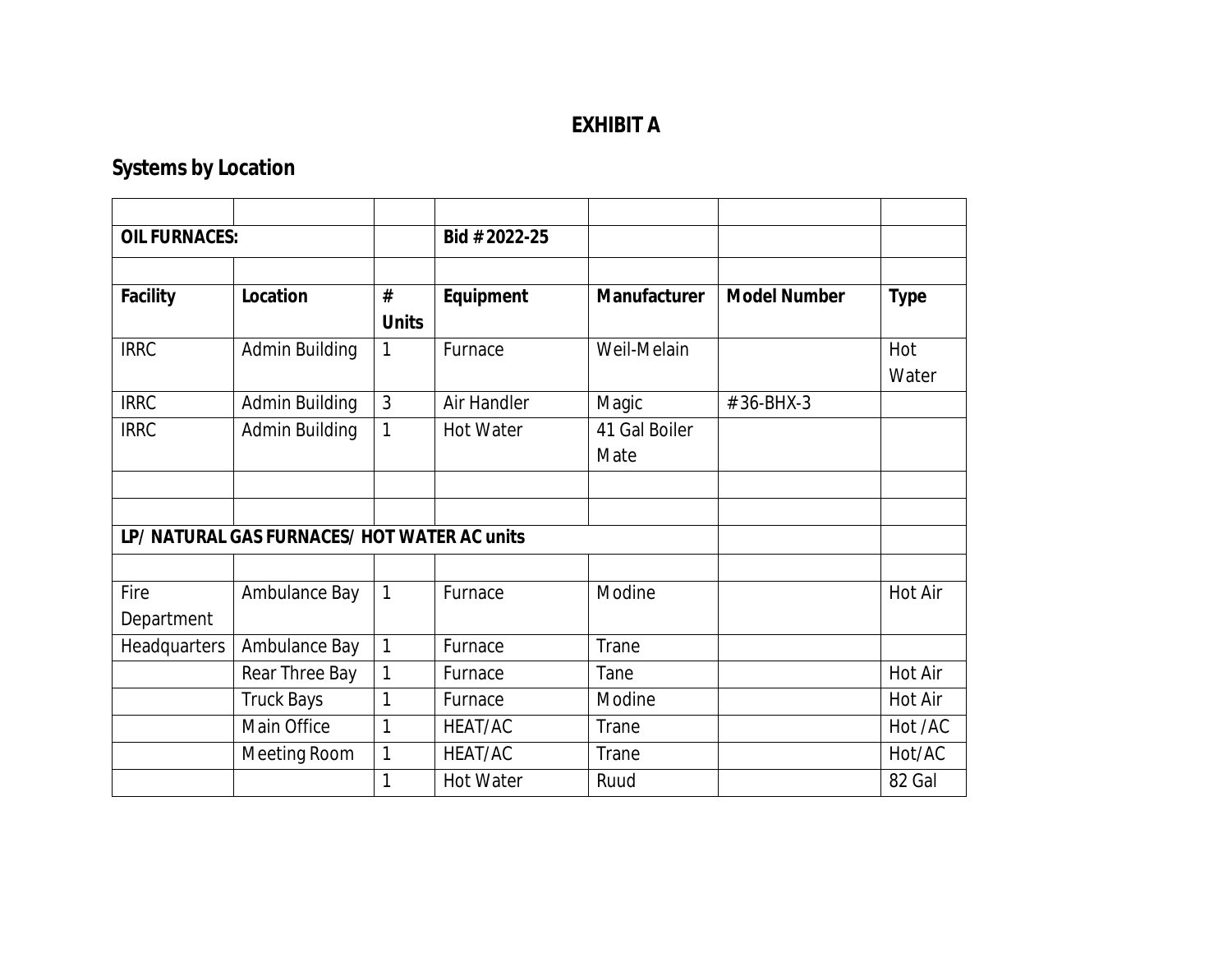## **EXHIBIT A**

## **Systems by Location**

| <b>OIL FURNACES:</b> |                                              |                   | Bid # 2022-25    |                       |                     |              |
|----------------------|----------------------------------------------|-------------------|------------------|-----------------------|---------------------|--------------|
| <b>Facility</b>      | Location                                     | #<br><b>Units</b> | Equipment        | <b>Manufacturer</b>   | <b>Model Number</b> | <b>Type</b>  |
| <b>IRRC</b>          | Admin Building                               | 1                 | Furnace          | Weil-Melain           |                     | Hot<br>Water |
| <b>IRRC</b>          | Admin Building                               | $\mathfrak{Z}$    | Air Handler      | Magic                 | #36-BHX-3           |              |
| <b>IRRC</b>          | Admin Building                               | $\mathbf{1}$      | <b>Hot Water</b> | 41 Gal Boiler<br>Mate |                     |              |
|                      | LP/ NATURAL GAS FURNACES/ HOT WATER AC units |                   |                  |                       |                     |              |
|                      |                                              |                   |                  |                       |                     |              |
| Fire<br>Department   | Ambulance Bay                                | $\mathbf{1}$      | Furnace          | Modine                |                     | Hot Air      |
| Headquarters         | Ambulance Bay                                | $\mathbf{1}$      | Furnace          | Trane                 |                     |              |
|                      | Rear Three Bay                               | $\mathbf{1}$      | Furnace          | Tane                  |                     | Hot Air      |
|                      | <b>Truck Bays</b>                            | 1                 | Furnace          | Modine                |                     | Hot Air      |
|                      | Main Office                                  | $\mathbf{1}$      | HEAT/AC          | Trane                 |                     | Hot /AC      |
|                      | Meeting Room                                 | 1                 | HEAT/AC          | Trane                 |                     | Hot/AC       |
|                      |                                              | 1                 | <b>Hot Water</b> | Ruud                  |                     | 82 Gal       |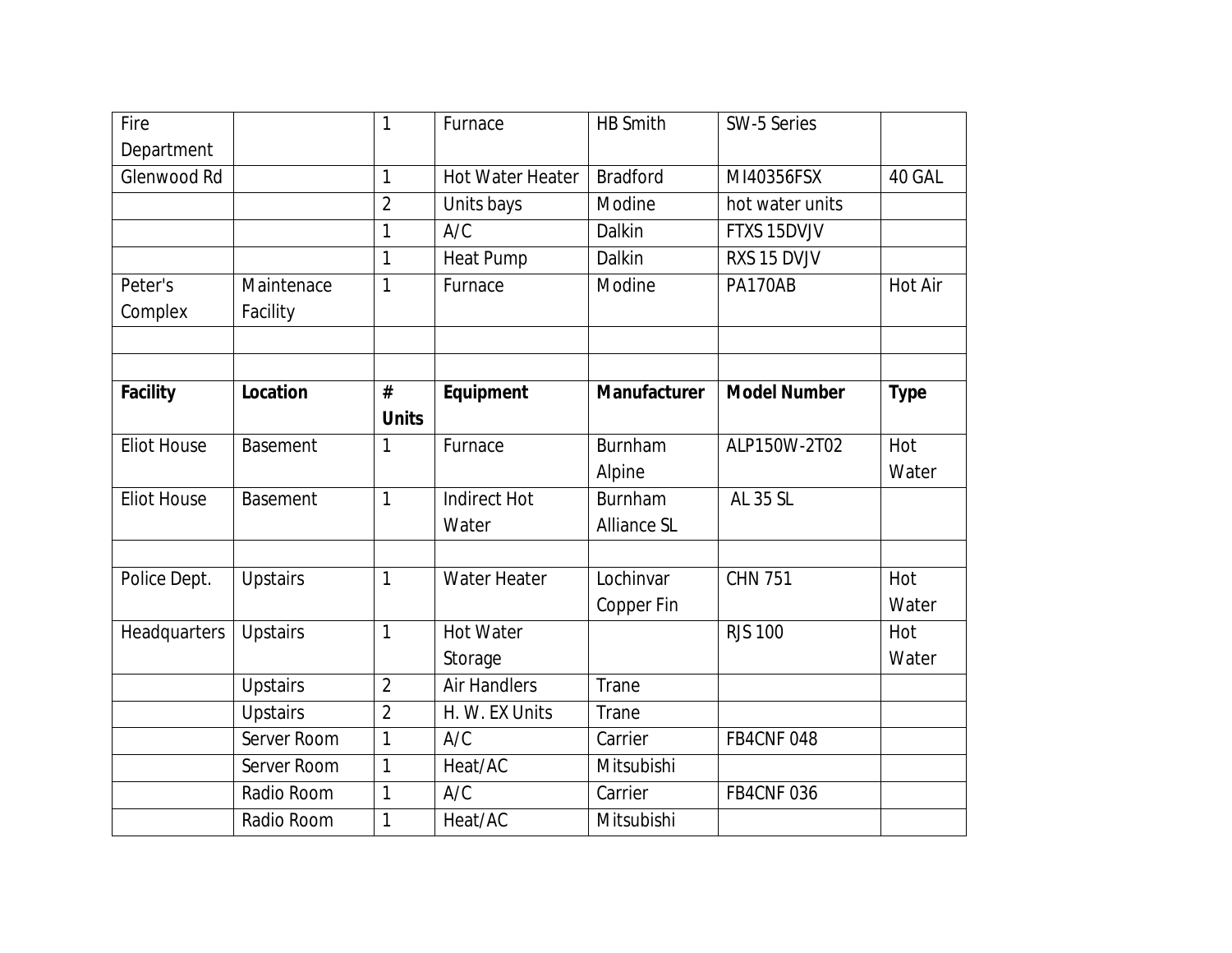| Fire               |                 | 1              | Furnace             | <b>HB</b> Smith     | SW-5 Series         |             |
|--------------------|-----------------|----------------|---------------------|---------------------|---------------------|-------------|
| Department         |                 |                |                     |                     |                     |             |
| Glenwood Rd        |                 | $\mathbf{1}$   | Hot Water Heater    | <b>Bradford</b>     | MI40356FSX          | 40 GAL      |
|                    |                 | $\overline{2}$ | Units bays          | Modine              | hot water units     |             |
|                    |                 | $\mathbf{1}$   | A/C                 | Dalkin              | FTXS 15DVJV         |             |
|                    |                 | $\mathbf{1}$   | Heat Pump           | Dalkin              | RXS 15 DVJV         |             |
| Peter's            | Maintenace      | $\mathbf{1}$   | Furnace             | Modine              | PA170AB             | Hot Air     |
| Complex            | Facility        |                |                     |                     |                     |             |
|                    |                 |                |                     |                     |                     |             |
|                    |                 |                |                     |                     |                     |             |
| <b>Facility</b>    | Location        | #              | Equipment           | <b>Manufacturer</b> | <b>Model Number</b> | <b>Type</b> |
|                    |                 | <b>Units</b>   |                     |                     |                     |             |
| <b>Eliot House</b> | <b>Basement</b> | $\mathbf{1}$   | Furnace             | Burnham             | ALP150W-2T02        | Hot         |
|                    |                 |                |                     | Alpine              |                     | Water       |
| <b>Eliot House</b> | <b>Basement</b> | $\mathbf{1}$   | <b>Indirect Hot</b> | Burnham             | <b>AL 35 SL</b>     |             |
|                    |                 |                | Water               | <b>Alliance SL</b>  |                     |             |
|                    |                 |                |                     |                     |                     |             |
| Police Dept.       | <b>Upstairs</b> | $\mathbf{1}$   | Water Heater        | Lochinvar           | <b>CHN 751</b>      | Hot         |
|                    |                 |                |                     | Copper Fin          |                     | Water       |
| Headquarters       | <b>Upstairs</b> | $\mathbf{1}$   | <b>Hot Water</b>    |                     | <b>RJS 100</b>      | Hot         |
|                    |                 |                | Storage             |                     |                     | Water       |
|                    | <b>Upstairs</b> | $\overline{2}$ | <b>Air Handlers</b> | Trane               |                     |             |
|                    | <b>Upstairs</b> | $\overline{2}$ | H. W. EX Units      | Trane               |                     |             |
|                    | Server Room     | $\mathbf{1}$   | A/C                 | Carrier             | FB4CNF048           |             |
|                    | Server Room     | $\mathbf{1}$   | Heat/AC             | Mitsubishi          |                     |             |
|                    | Radio Room      | $\mathbf{1}$   | A/C                 | Carrier             | <b>FB4CNF 036</b>   |             |
|                    | Radio Room      | $\mathbf{1}$   | Heat/AC             | Mitsubishi          |                     |             |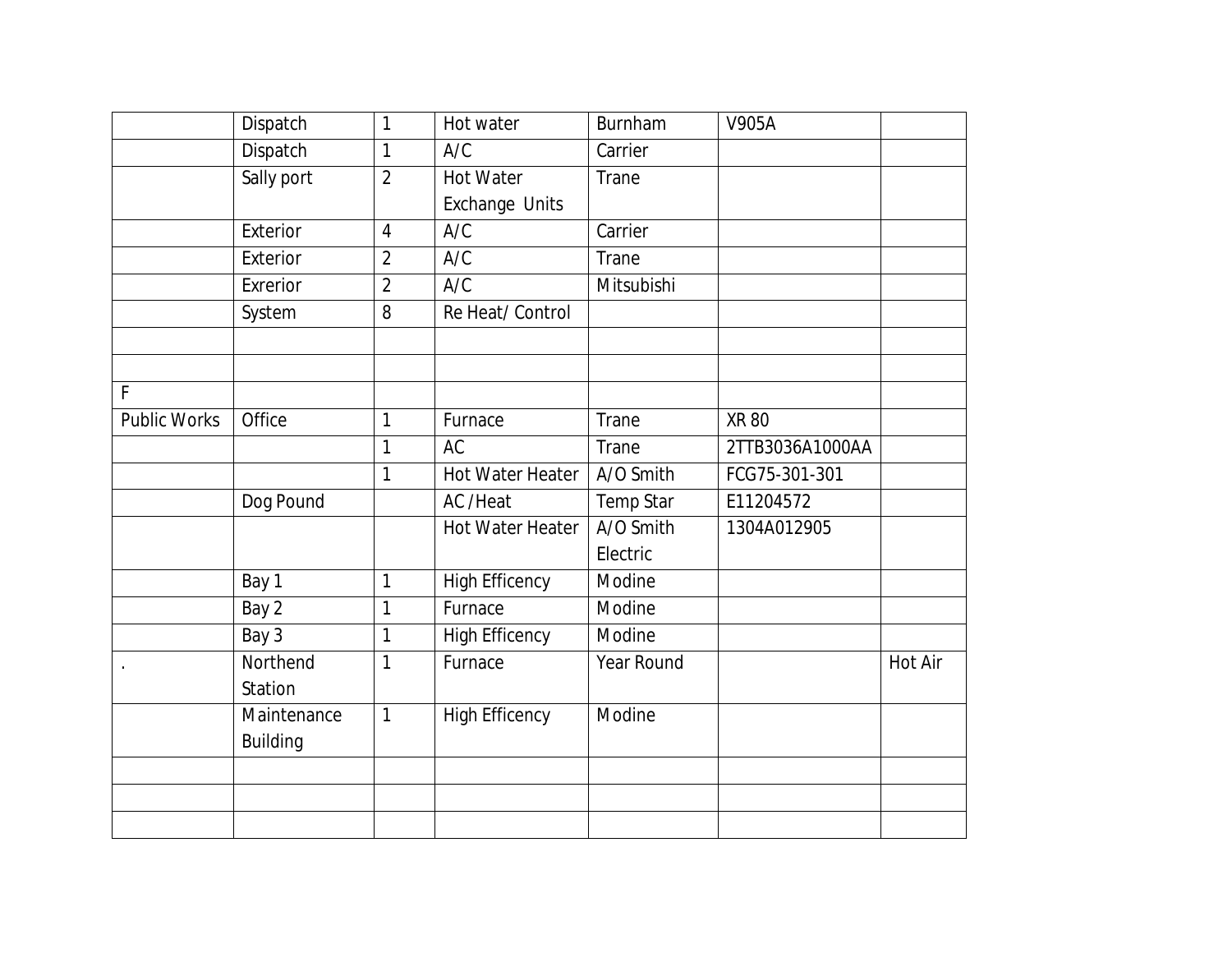|                     | Dispatch        | $\mathbf{1}$   | Hot water               | <b>Burnham</b> | V905A           |         |
|---------------------|-----------------|----------------|-------------------------|----------------|-----------------|---------|
|                     | Dispatch        | $\mathbf{1}$   | A/C                     | Carrier        |                 |         |
|                     | Sally port      | $\overline{2}$ | Hot Water               | Trane          |                 |         |
|                     |                 |                | Exchange Units          |                |                 |         |
|                     | Exterior        | $\overline{4}$ | A/C                     | Carrier        |                 |         |
|                     | Exterior        | $\overline{2}$ | A/C                     | Trane          |                 |         |
|                     | Exrerior        | $\overline{2}$ | A/C                     | Mitsubishi     |                 |         |
|                     | System          | 8              | Re Heat/ Control        |                |                 |         |
|                     |                 |                |                         |                |                 |         |
|                     |                 |                |                         |                |                 |         |
| F                   |                 |                |                         |                |                 |         |
| <b>Public Works</b> | Office          | $\mathbf{1}$   | Furnace                 | Trane          | <b>XR 80</b>    |         |
|                     |                 | $\mathbf{1}$   | AC                      | Trane          | 2TTB3036A1000AA |         |
|                     |                 | 1              | Hot Water Heater        | A/O Smith      | FCG75-301-301   |         |
|                     | Dog Pound       |                | AC /Heat                | Temp Star      | E11204572       |         |
|                     |                 |                | <b>Hot Water Heater</b> | A/O Smith      | 1304A012905     |         |
|                     |                 |                |                         | Electric       |                 |         |
|                     | Bay 1           | $\mathbf{1}$   | <b>High Efficency</b>   | Modine         |                 |         |
|                     | Bay 2           | $\mathbf{1}$   | Furnace                 | Modine         |                 |         |
|                     | Bay 3           | $\mathbf{1}$   | <b>High Efficency</b>   | Modine         |                 |         |
|                     | Northend        | $\mathbf{1}$   | Furnace                 | Year Round     |                 | Hot Air |
|                     | Station         |                |                         |                |                 |         |
|                     | Maintenance     | $\mathbf{1}$   | <b>High Efficency</b>   | Modine         |                 |         |
|                     | <b>Building</b> |                |                         |                |                 |         |
|                     |                 |                |                         |                |                 |         |
|                     |                 |                |                         |                |                 |         |
|                     |                 |                |                         |                |                 |         |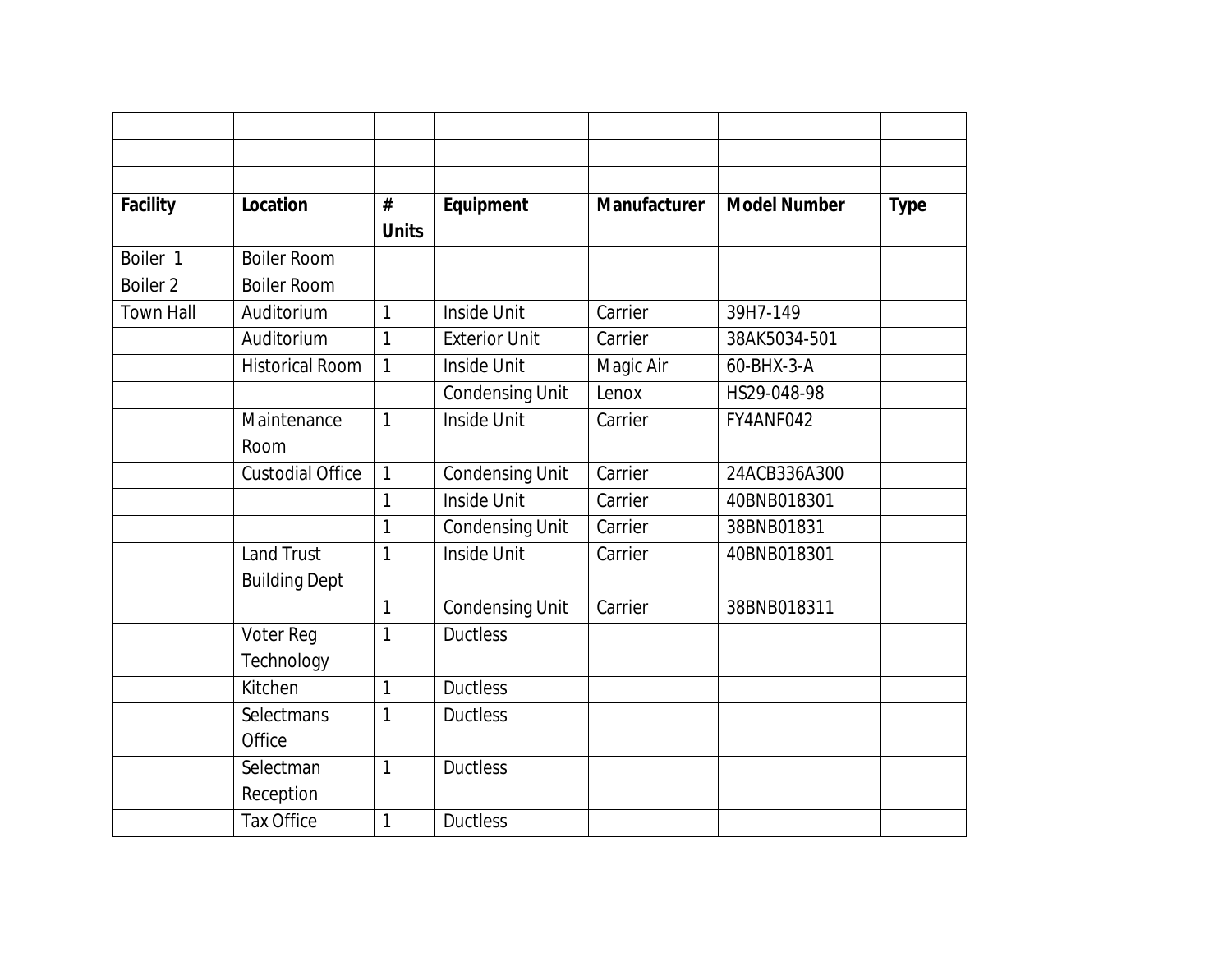| <b>Facility</b>     | Location                                  | #<br><b>Units</b> | Equipment              | <b>Manufacturer</b> | <b>Model Number</b> | <b>Type</b> |
|---------------------|-------------------------------------------|-------------------|------------------------|---------------------|---------------------|-------------|
| Boiler 1            | <b>Boiler Room</b>                        |                   |                        |                     |                     |             |
| Boiler <sub>2</sub> | <b>Boiler Room</b>                        |                   |                        |                     |                     |             |
| <b>Town Hall</b>    | Auditorium                                | $\mathbf{1}$      | Inside Unit            | Carrier             | 39H7-149            |             |
|                     | Auditorium                                | $\mathbf{1}$      | <b>Exterior Unit</b>   | Carrier             | 38AK5034-501        |             |
|                     | <b>Historical Room</b>                    | $\mathbf{1}$      | Inside Unit            | Magic Air           | 60-BHX-3-A          |             |
|                     |                                           |                   | <b>Condensing Unit</b> | Lenox               | HS29-048-98         |             |
|                     | Maintenance<br>Room                       | $\mathbf{1}$      | Inside Unit            | Carrier             | FY4ANF042           |             |
|                     | <b>Custodial Office</b>                   | $\mathbf{1}$      | <b>Condensing Unit</b> | Carrier             | 24ACB336A300        |             |
|                     |                                           | 1                 | Inside Unit            | Carrier             | 40BNB018301         |             |
|                     |                                           | 1                 | <b>Condensing Unit</b> | Carrier             | 38BNB01831          |             |
|                     | <b>Land Trust</b><br><b>Building Dept</b> | $\mathbf{1}$      | Inside Unit            | Carrier             | 40BNB018301         |             |
|                     |                                           | $\mathbf{1}$      | <b>Condensing Unit</b> | Carrier             | 38BNB018311         |             |
|                     | Voter Reg<br>Technology                   | $\mathbf{1}$      | <b>Ductless</b>        |                     |                     |             |
|                     | Kitchen                                   | $\mathbf{1}$      | <b>Ductless</b>        |                     |                     |             |
|                     | Selectmans<br>Office                      | 1                 | <b>Ductless</b>        |                     |                     |             |
|                     | Selectman<br>Reception                    | $\mathbf{1}$      | <b>Ductless</b>        |                     |                     |             |
|                     | <b>Tax Office</b>                         | 1                 | <b>Ductless</b>        |                     |                     |             |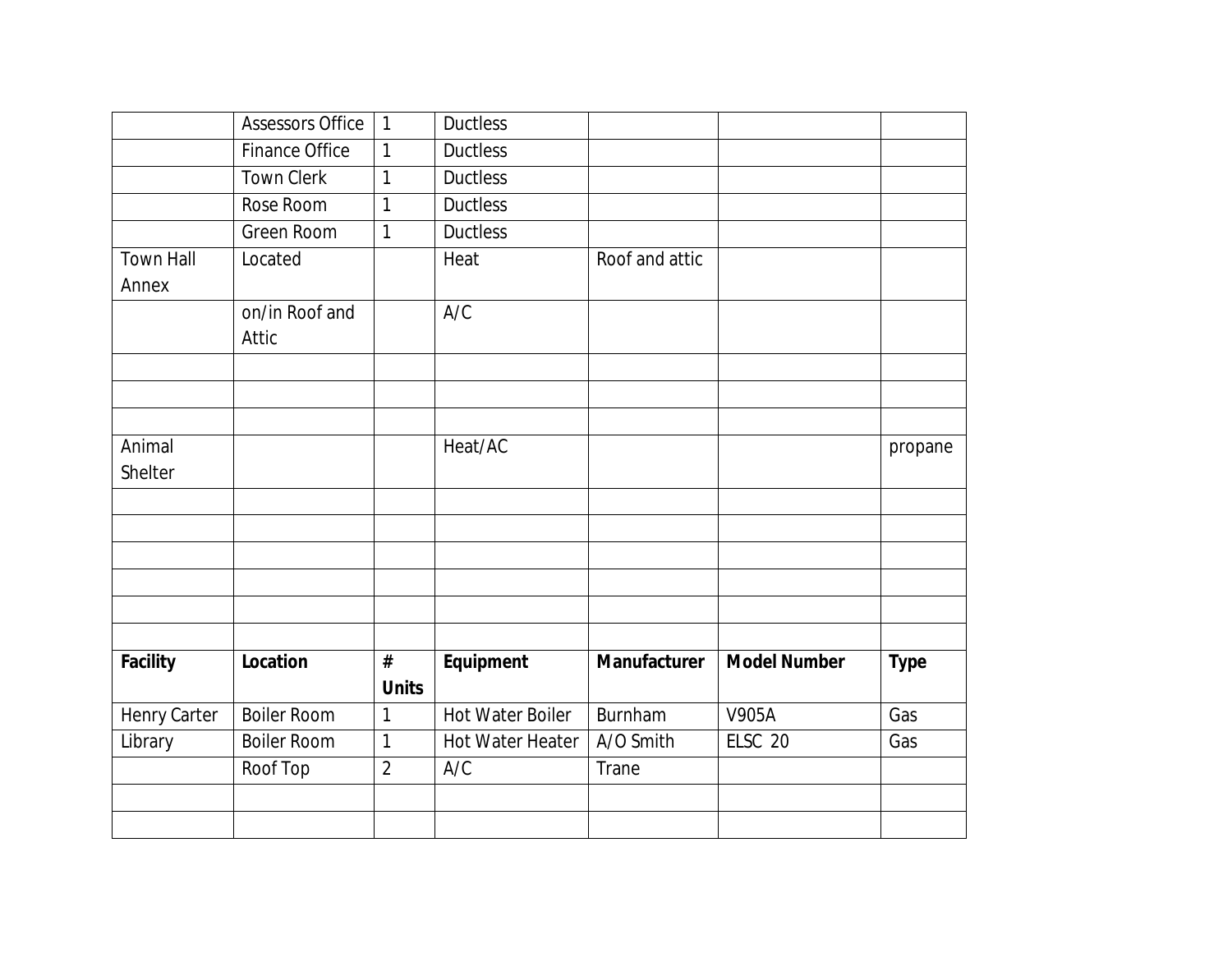|                  | Assessors Office   | $\mathbf{1}$   | <b>Ductless</b>  |                     |                     |             |
|------------------|--------------------|----------------|------------------|---------------------|---------------------|-------------|
|                  | Finance Office     | $\mathbf{1}$   | <b>Ductless</b>  |                     |                     |             |
|                  | <b>Town Clerk</b>  | $\mathbf{1}$   | <b>Ductless</b>  |                     |                     |             |
|                  | Rose Room          | $\mathbf{1}$   | <b>Ductless</b>  |                     |                     |             |
|                  | Green Room         | $\mathbf{1}$   | <b>Ductless</b>  |                     |                     |             |
| <b>Town Hall</b> | Located            |                | Heat             | Roof and attic      |                     |             |
| Annex            |                    |                |                  |                     |                     |             |
|                  | on/in Roof and     |                | A/C              |                     |                     |             |
|                  | Attic              |                |                  |                     |                     |             |
|                  |                    |                |                  |                     |                     |             |
|                  |                    |                |                  |                     |                     |             |
|                  |                    |                |                  |                     |                     |             |
| Animal           |                    |                | Heat/AC          |                     |                     | propane     |
| Shelter          |                    |                |                  |                     |                     |             |
|                  |                    |                |                  |                     |                     |             |
|                  |                    |                |                  |                     |                     |             |
|                  |                    |                |                  |                     |                     |             |
|                  |                    |                |                  |                     |                     |             |
|                  |                    |                |                  |                     |                     |             |
|                  |                    |                |                  |                     |                     |             |
| <b>Facility</b>  | Location           | #              | Equipment        | <b>Manufacturer</b> | <b>Model Number</b> | <b>Type</b> |
|                  |                    | <b>Units</b>   |                  |                     |                     |             |
| Henry Carter     | <b>Boiler Room</b> | $\mathbf{1}$   | Hot Water Boiler | Burnham             | V905A               | Gas         |
| Library          | <b>Boiler Room</b> | $\mathbf{1}$   | Hot Water Heater | A/O Smith           | ELSC 20             | Gas         |
|                  | Roof Top           | $\overline{2}$ | A/C              | Trane               |                     |             |
|                  |                    |                |                  |                     |                     |             |
|                  |                    |                |                  |                     |                     |             |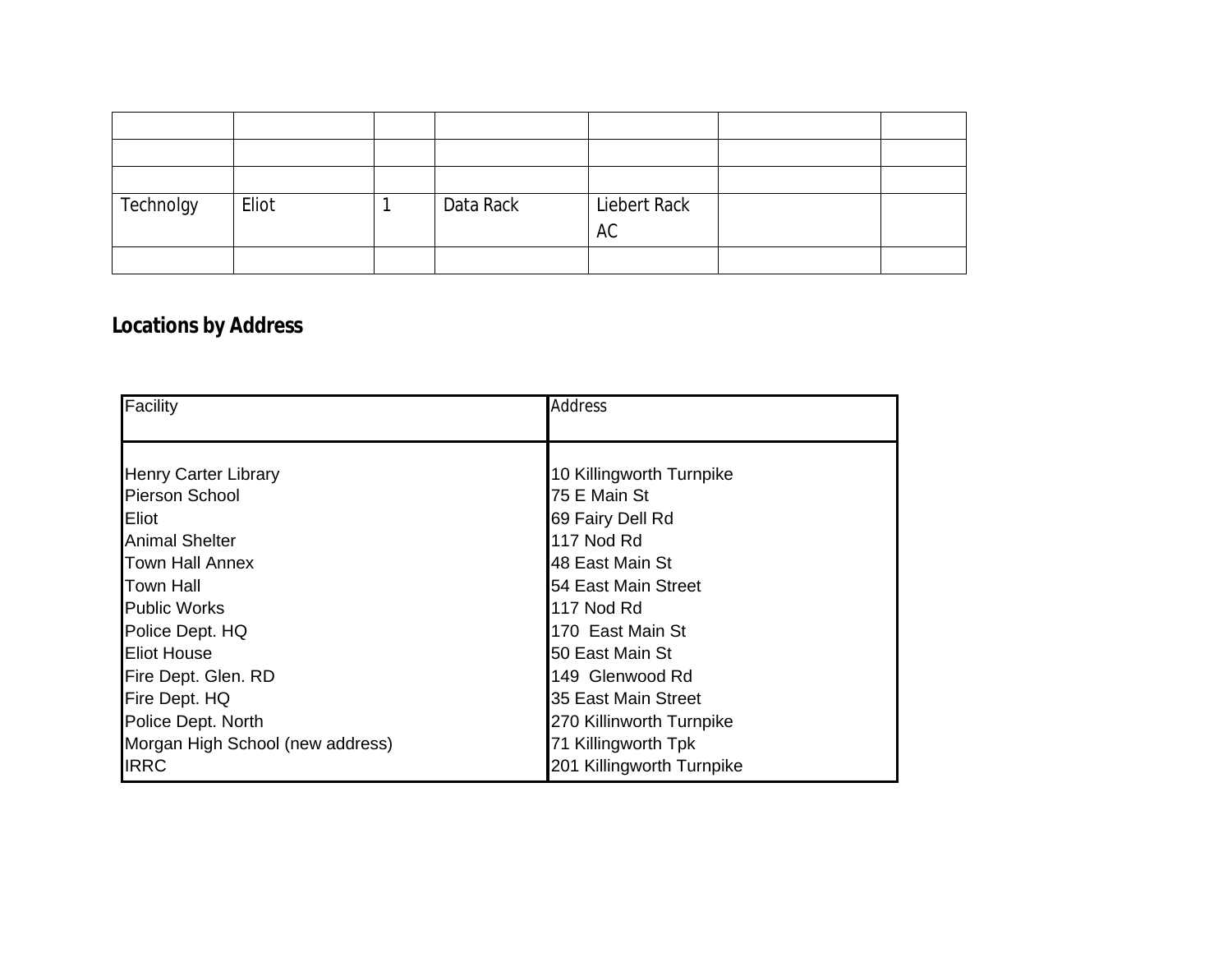| Technolgy | Eliot | Data Rack | Liebert Rack |  |
|-----------|-------|-----------|--------------|--|
|           |       |           | AC           |  |
|           |       |           |              |  |

## **Locations by Address**

| Facility                         | Address                   |
|----------------------------------|---------------------------|
|                                  |                           |
| <b>Henry Carter Library</b>      | 10 Killingworth Turnpike  |
| Pierson School                   | 75 E Main St              |
| Eliot                            | 69 Fairy Dell Rd          |
| <b>Animal Shelter</b>            | 117 Nod Rd                |
| Town Hall Annex                  | l48 East Main St          |
| Town Hall                        | l54 East Main Street      |
| <b>Public Works</b>              | 117 Nod Rd                |
| Police Dept. HQ                  | 170 East Main St          |
| <b>Eliot House</b>               | l50 East Main St          |
| Fire Dept. Glen. RD              | 149 Glenwood Rd           |
| Fire Dept. HQ                    | 35 East Main Street       |
| Police Dept. North               | 270 Killinworth Turnpike  |
| Morgan High School (new address) | 71 Killingworth Tpk       |
| <b>IRRC</b>                      | 201 Killingworth Turnpike |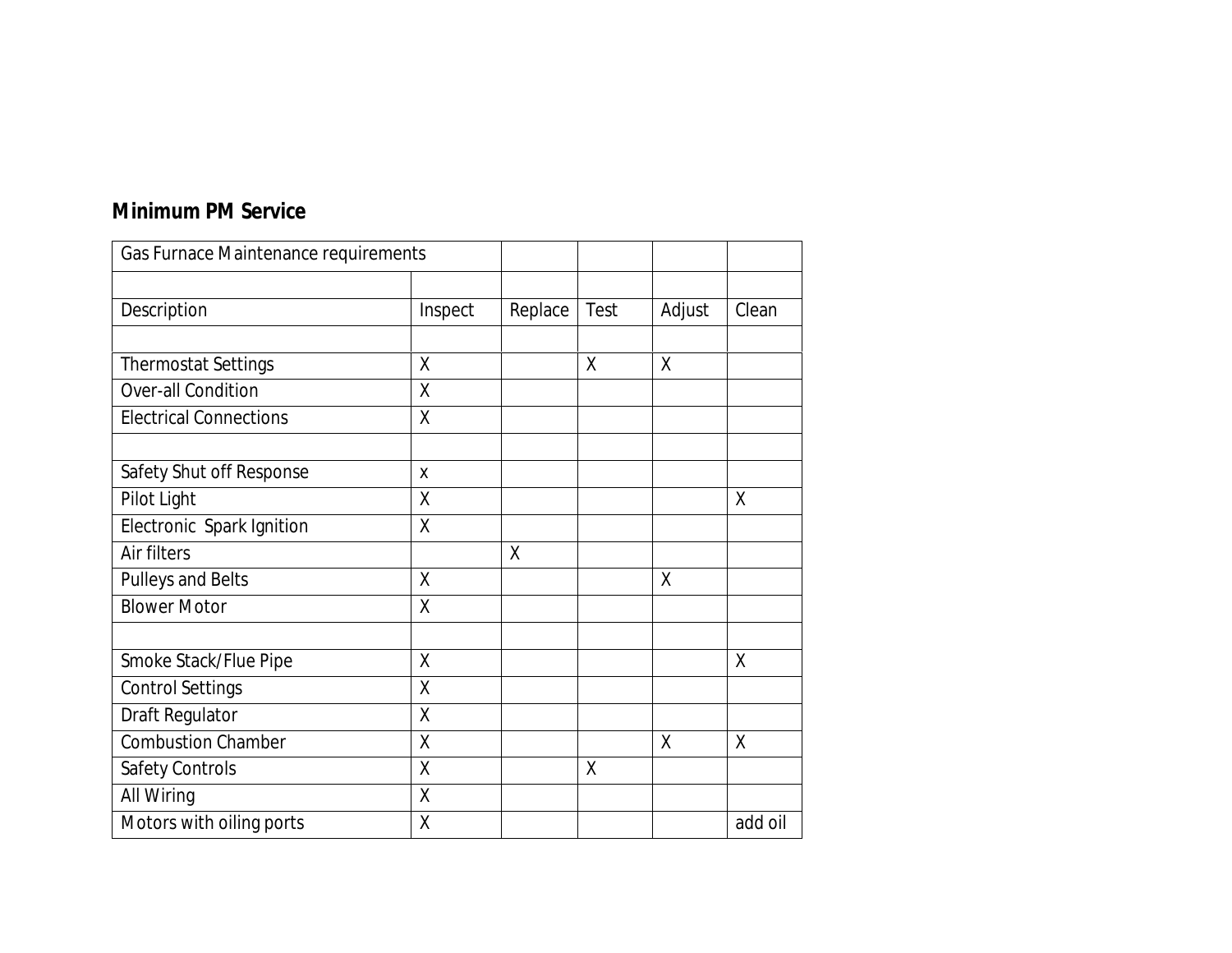## **Minimum PM Service**

| Gas Furnace Maintenance requirements |         |         |      |        |         |
|--------------------------------------|---------|---------|------|--------|---------|
|                                      |         |         |      |        |         |
| Description                          | Inspect | Replace | Test | Adjust | Clean   |
|                                      |         |         |      |        |         |
| <b>Thermostat Settings</b>           | Χ       |         | X    | Χ      |         |
| Over-all Condition                   | X       |         |      |        |         |
| <b>Electrical Connections</b>        | X       |         |      |        |         |
|                                      |         |         |      |        |         |
| Safety Shut off Response             | X       |         |      |        |         |
| Pilot Light                          | X       |         |      |        | X       |
| Electronic Spark Ignition            | X       |         |      |        |         |
| Air filters                          |         | $\sf X$ |      |        |         |
| Pulleys and Belts                    | Χ       |         |      | Χ      |         |
| <b>Blower Motor</b>                  | X       |         |      |        |         |
| Smoke Stack/Flue Pipe                | X       |         |      |        | X       |
| <b>Control Settings</b>              | $\sf X$ |         |      |        |         |
| Draft Regulator                      | X       |         |      |        |         |
| <b>Combustion Chamber</b>            | X       |         |      | X      | X       |
| Safety Controls                      | X       |         | X    |        |         |
| All Wiring                           | Χ       |         |      |        |         |
| Motors with oiling ports             | Χ       |         |      |        | add oil |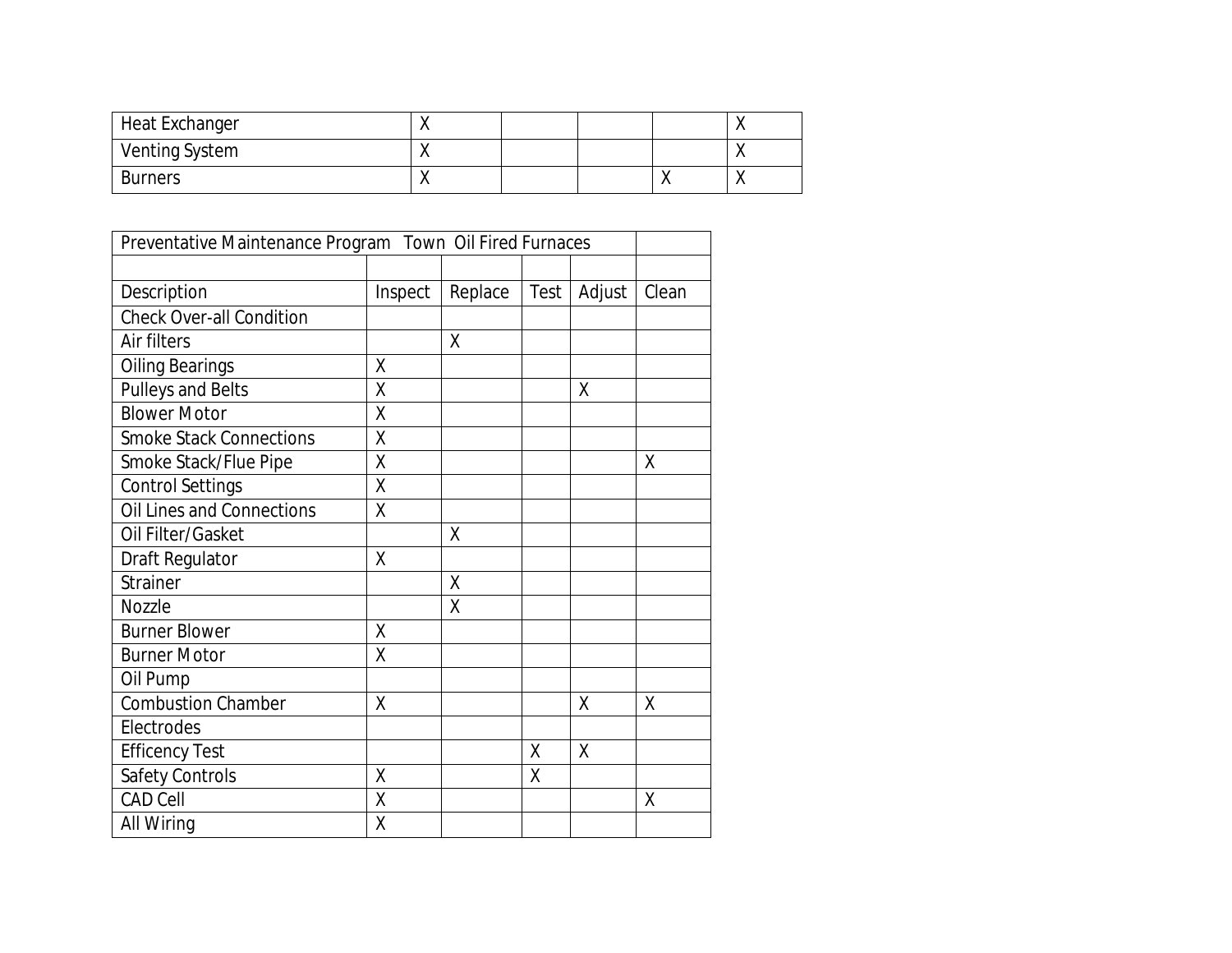| <b>Heat Exchanger</b> |  |  |                          |
|-----------------------|--|--|--------------------------|
| Venting System        |  |  | $\cdot$                  |
| <b>Burners</b>        |  |  | $\overline{\phantom{a}}$ |

| Preventative Maintenance Program Town Oil Fired Furnaces |         |         |      |        |       |  |
|----------------------------------------------------------|---------|---------|------|--------|-------|--|
|                                                          |         |         |      |        |       |  |
| Description                                              | Inspect | Replace | Test | Adjust | Clean |  |
| <b>Check Over-all Condition</b>                          |         |         |      |        |       |  |
| Air filters                                              |         | X       |      |        |       |  |
| <b>Oiling Bearings</b>                                   | X       |         |      |        |       |  |
| <b>Pulleys and Belts</b>                                 | $\sf X$ |         |      | X      |       |  |
| <b>Blower Motor</b>                                      | Χ       |         |      |        |       |  |
| <b>Smoke Stack Connections</b>                           | X       |         |      |        |       |  |
| Smoke Stack/Flue Pipe                                    | X       |         |      |        | Χ     |  |
| <b>Control Settings</b>                                  | X       |         |      |        |       |  |
| Oil Lines and Connections                                | Χ       |         |      |        |       |  |
| Oil Filter/Gasket                                        |         | X       |      |        |       |  |
| Draft Regulator                                          | χ       |         |      |        |       |  |
| Strainer                                                 |         | X       |      |        |       |  |
| Nozzle                                                   |         | X       |      |        |       |  |
| <b>Burner Blower</b>                                     | Χ       |         |      |        |       |  |
| <b>Burner Motor</b>                                      | Χ       |         |      |        |       |  |
| Oil Pump                                                 |         |         |      |        |       |  |
| <b>Combustion Chamber</b>                                | Χ       |         |      | Χ      | Χ     |  |
| Electrodes                                               |         |         |      |        |       |  |
| <b>Efficency Test</b>                                    |         |         | X    | X      |       |  |
| Safety Controls                                          | X       |         | X    |        |       |  |
| <b>CAD Cell</b>                                          | X       |         |      |        | Χ     |  |
| All Wiring                                               | Χ       |         |      |        |       |  |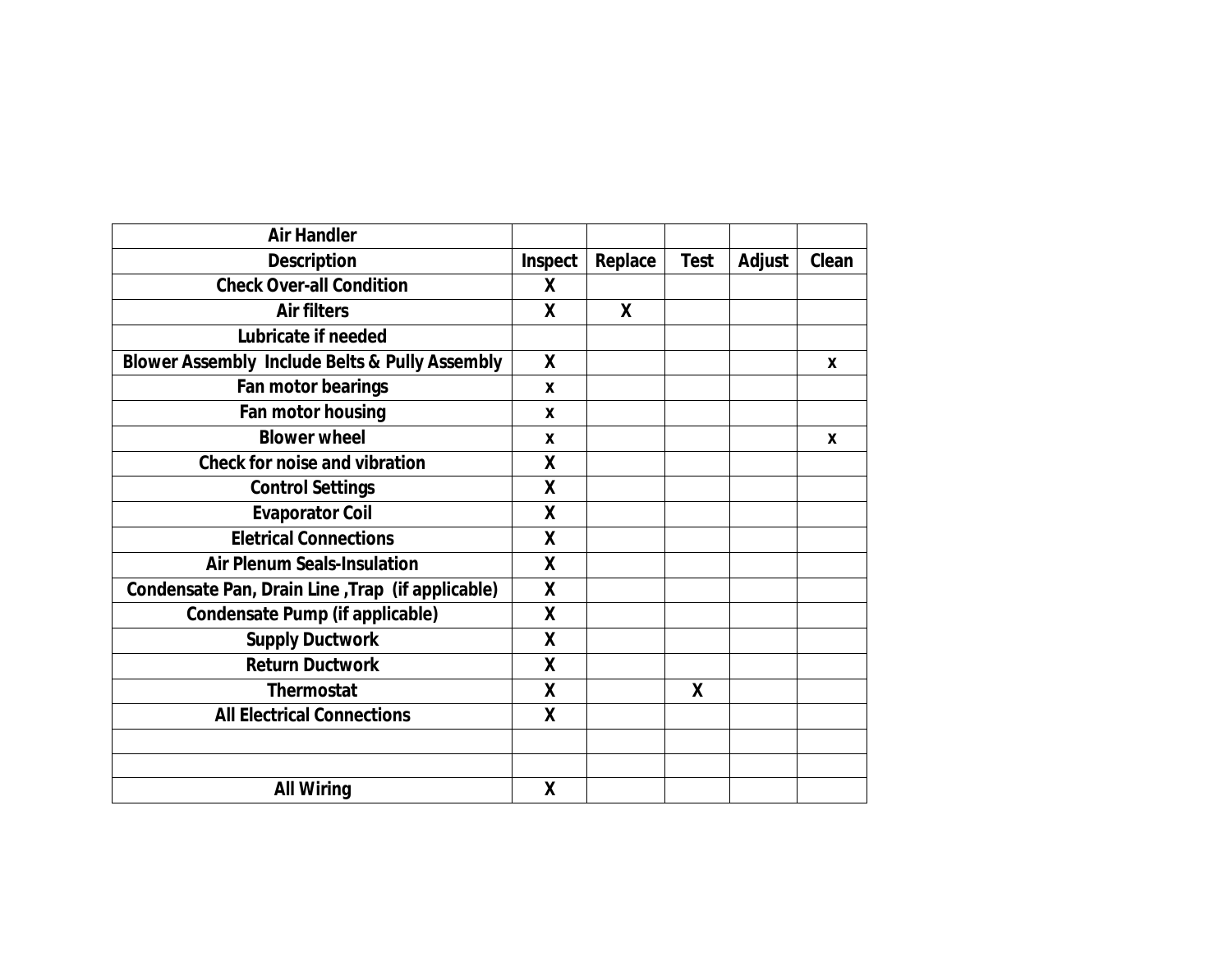| <b>Air Handler</b>                                        |              |                  |             |        |       |
|-----------------------------------------------------------|--------------|------------------|-------------|--------|-------|
| <b>Description</b>                                        | Inspect      | Replace          | <b>Test</b> | Adjust | Clean |
| <b>Check Over-all Condition</b>                           | X            |                  |             |        |       |
| <b>Air filters</b>                                        | X            | $\boldsymbol{X}$ |             |        |       |
| Lubricate if needed                                       |              |                  |             |        |       |
| <b>Blower Assembly Include Belts &amp; Pully Assembly</b> | X            |                  |             |        | X     |
| Fan motor bearings                                        | X            |                  |             |        |       |
| Fan motor housing                                         | X            |                  |             |        |       |
| <b>Blower wheel</b>                                       | $\mathbf{x}$ |                  |             |        | X     |
| Check for noise and vibration                             | $\mathsf{X}$ |                  |             |        |       |
| <b>Control Settings</b>                                   | X            |                  |             |        |       |
| <b>Evaporator Coil</b>                                    | $\mathsf{X}$ |                  |             |        |       |
| <b>Eletrical Connections</b>                              | X            |                  |             |        |       |
| <b>Air Plenum Seals-Insulation</b>                        | X            |                  |             |        |       |
| Condensate Pan, Drain Line, Trap (if applicable)          | X            |                  |             |        |       |
| Condensate Pump (if applicable)                           | X            |                  |             |        |       |
| <b>Supply Ductwork</b>                                    | X            |                  |             |        |       |
| <b>Return Ductwork</b>                                    | X            |                  |             |        |       |
| <b>Thermostat</b>                                         | X            |                  | X           |        |       |
| <b>All Electrical Connections</b>                         | X            |                  |             |        |       |
|                                                           |              |                  |             |        |       |
|                                                           |              |                  |             |        |       |
| <b>All Wiring</b>                                         | X            |                  |             |        |       |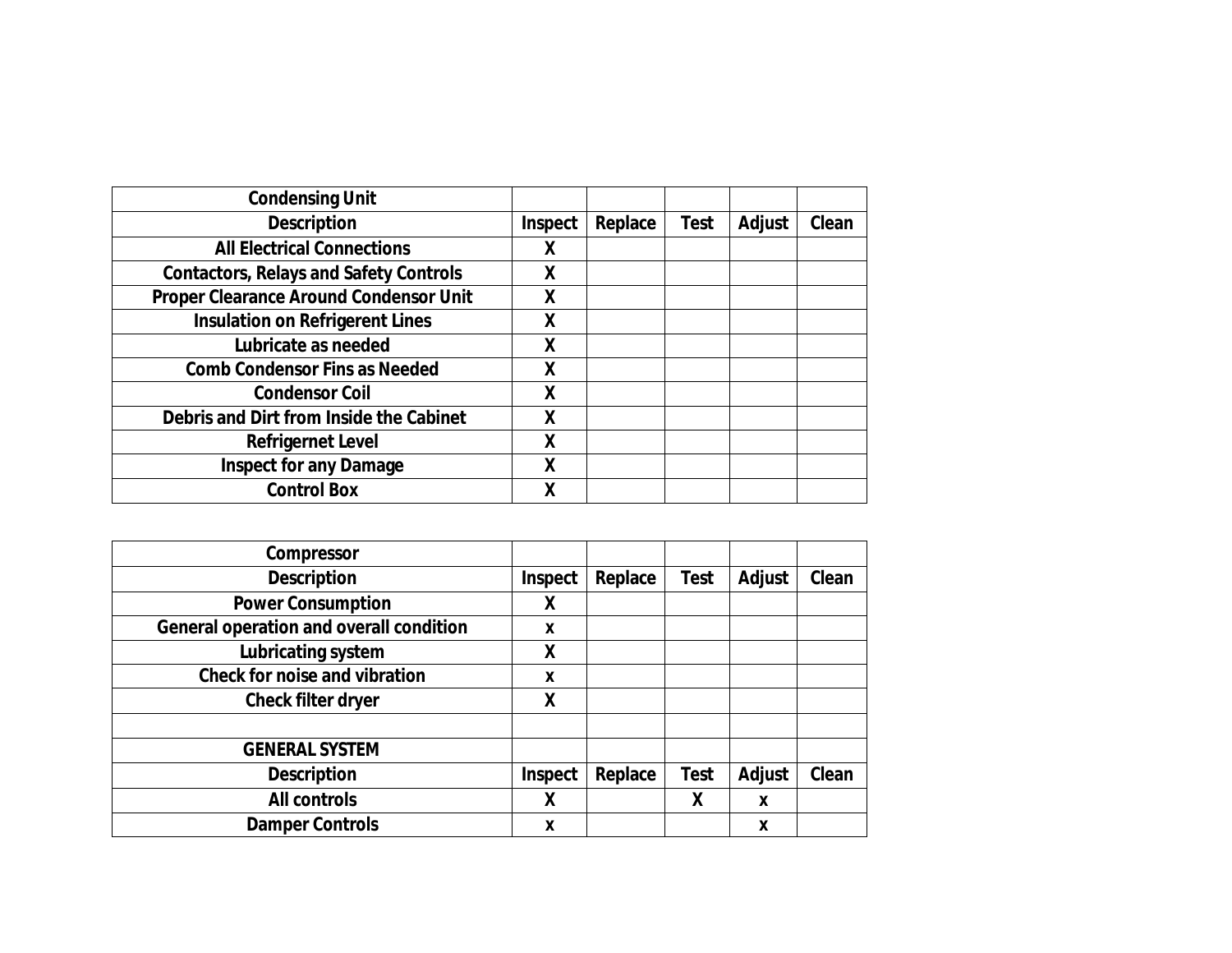| <b>Condensing Unit</b>                        |         |         |             |        |       |
|-----------------------------------------------|---------|---------|-------------|--------|-------|
| <b>Description</b>                            | Inspect | Replace | <b>Test</b> | Adjust | Clean |
| <b>All Electrical Connections</b>             | Χ       |         |             |        |       |
| <b>Contactors, Relays and Safety Controls</b> | X       |         |             |        |       |
| Proper Clearance Around Condensor Unit        | χ       |         |             |        |       |
| <b>Insulation on Refrigerent Lines</b>        | χ       |         |             |        |       |
| Lubricate as needed                           | X       |         |             |        |       |
| <b>Comb Condensor Fins as Needed</b>          | Χ       |         |             |        |       |
| <b>Condensor Coil</b>                         | X       |         |             |        |       |
| Debris and Dirt from Inside the Cabinet       | X       |         |             |        |       |
| <b>Refrigernet Level</b>                      | X       |         |             |        |       |
| <b>Inspect for any Damage</b>                 | X       |         |             |        |       |
| <b>Control Box</b>                            | X       |         |             |        |       |

| Compressor                              |         |         |             |        |       |
|-----------------------------------------|---------|---------|-------------|--------|-------|
| <b>Description</b>                      | Inspect | Replace | <b>Test</b> | Adjust | Clean |
| <b>Power Consumption</b>                | Χ       |         |             |        |       |
| General operation and overall condition | X       |         |             |        |       |
| Lubricating system                      | Χ       |         |             |        |       |
| Check for noise and vibration           | x       |         |             |        |       |
| Check filter dryer                      | Χ       |         |             |        |       |
|                                         |         |         |             |        |       |
| <b>GENERAL SYSTEM</b>                   |         |         |             |        |       |
| <b>Description</b>                      | Inspect | Replace | <b>Test</b> | Adjust | Clean |
| <b>All controls</b>                     | χ       |         | X           | X      |       |
| <b>Damper Controls</b>                  | X       |         |             | X      |       |